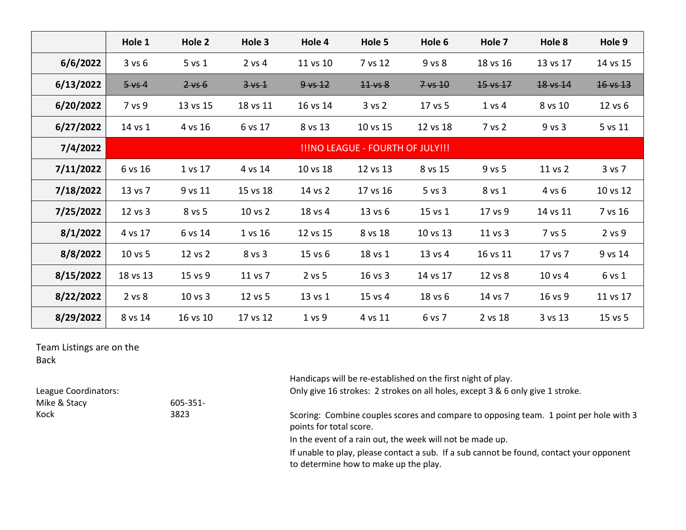|           | Hole 1                           | Hole 2      | Hole 3     | Hole 4            | Hole 5      | Hole 6       | Hole 7              | Hole 8   | Hole 9              |
|-----------|----------------------------------|-------------|------------|-------------------|-------------|--------------|---------------------|----------|---------------------|
| 6/6/2022  | 3 v s 6                          | $5$ vs $1$  | $2$ vs 4   | 11 vs 10          | 7 vs 12     | $9$ vs $8$   | 18 vs 16            | 13 vs 17 | 14 vs 15            |
| 6/13/2022 | $5 \vee 4$                       | $2 \vee 6$  | $3 \vee 4$ | $9 \vee 12$       | $44$ vs $8$ | $7\sqrt{10}$ | $15 \text{ vs } 17$ | 18 vs 14 | $16 \text{ vs } 13$ |
| 6/20/2022 | 7 vs 9                           | 13 vs 15    | 18 vs 11   | 16 vs 14          | 3 vs 2      | 17 vs 5      | $1$ vs $4$          | 8 vs 10  | 12 vs 6             |
| 6/27/2022 | 14 vs 1                          | 4 vs 16     | 6 vs 17    | 8 vs 13           | 10 vs 15    | 12 vs 18     | 7 vs 2              | 9 vs 3   | 5 vs 11             |
| 7/4/2022  | !!!NO LEAGUE - FOURTH OF JULY!!! |             |            |                   |             |              |                     |          |                     |
| 7/11/2022 | 6 vs 16                          | 1 vs 17     | 4 vs 14    | 10 vs 18          | 12 vs 13    | 8 vs 15      | 9 vs 5              | 11 vs 2  | 3 vs 7              |
| 7/18/2022 | 13 vs 7                          | 9 vs 11     | 15 vs 18   | 14 vs 2           | 17 vs 16    | $5$ vs $3$   | 8 vs 1              | 4 vs 6   | 10 vs 12            |
| 7/25/2022 | 12 vs 3                          | 8 vs 5      | 10 vs 2    | 18 vs 4           | 13 vs 6     | 15 vs 1      | 17 vs 9             | 14 vs 11 | 7 vs 16             |
| 8/1/2022  | 4 vs 17                          | 6 vs 14     | 1 vs 16    | 12 vs 15          | 8 vs 18     | 10 vs 13     | 11 vs 3             | 7 vs 5   | $2$ vs $9$          |
| 8/8/2022  | 10 vs 5                          | 12 vs 2     | 8 vs 3     | 15 vs 6           | 18 vs 1     | 13 vs 4      | 16 vs 11            | 17 vs 7  | 9 vs 14             |
| 8/15/2022 | 18 vs 13                         | 15 vs 9     | 11 vs 7    | $2$ vs $5$        | 16 vs 3     | 14 vs 17     | 12 vs 8             | 10 vs 4  | 6 vs 1              |
| 8/22/2022 | 2 vs 8                           | $10$ vs $3$ | 12 vs 5    | 13 vs 1           | 15 vs 4     | 18 vs 6      | 14 vs 7             | 16 vs 9  | 11 vs 17            |
| 8/29/2022 | 8 vs 14                          | 16 vs 10    | 17 vs 12   | 1 <sub>vs</sub> 9 | 4 vs 11     | 6 vs 7       | 2 vs 18             | 3 vs 13  | 15 vs 5             |

Team Listings are on the Back

605-351-

Mike & Stacy

Kock

Handicaps will be re-established on the first night of play.

League Coordinators: **Only give 16 strokes: 2 strokes** on all holes, except 3 & 6 only give 1 stroke.

3823 Scoring: Combine couples scores and compare to opposing team. 1 point per hole with 3 points for total score.

In the event of a rain out, the week will not be made up.

If unable to play, please contact a sub. If a sub cannot be found, contact your opponent to determine how to make up the play.